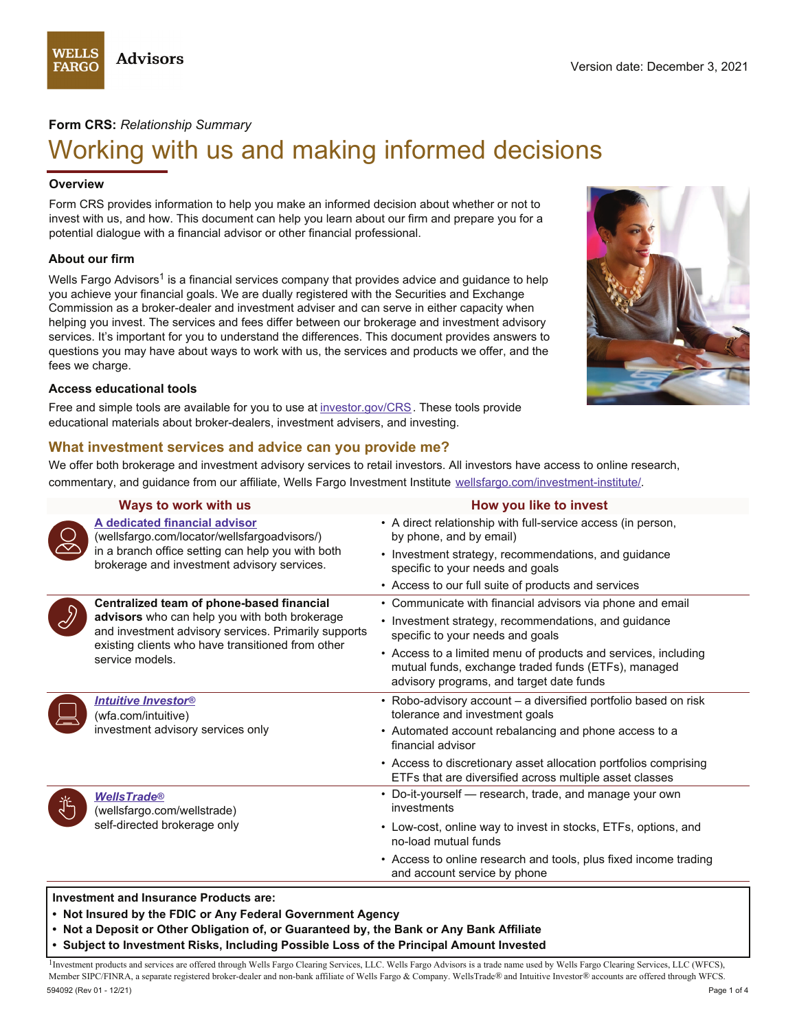# **Form CRS:** *Relationship Summary*

# Working with us and making informed decisions

#### **Overview**

Form CRS provides information to help you make an informed decision about whether or not to invest with us, and how. This document can help you learn about our firm and prepare you for a potential dialogue with a financial advisor or other financial professional.

#### **About our firm**

Wells Fargo Advisors<sup>1</sup> is a financial services company that provides advice and guidance to help you achieve your financial goals. We are dually registered with the Securities and Exchange Commission as a broker-dealer and investment adviser and can serve in either capacity when helping you invest. The services and fees differ between our brokerage and investment advisory services. It's important for you to understand the differences. This document provides answers to questions you may have about ways to work with us, the services and products we offer, and the fees we charge.

#### **Access educational tools**

Free and simple tools are available for you to use at [investor.gov/CRS](https://investor.gov/CRS). These tools provide educational materials about broker-dealers, investment advisers, and investing.

# **What investment services and advice can you provide me?**

We offer both brokerage and investment advisory services to retail investors. All investors have access to online research, commentary, and guidance from our affiliate, Wells Fargo Investment Institute [wellsfargo.com/investment-institute/.](https://wellsfargo.com/investment-institute)

|  | Ways to work with us                                                                                                                                                                                                       | How you like to invest                                                                                                                                                                                                                     |
|--|----------------------------------------------------------------------------------------------------------------------------------------------------------------------------------------------------------------------------|--------------------------------------------------------------------------------------------------------------------------------------------------------------------------------------------------------------------------------------------|
|  | A dedicated financial advisor<br>(wellsfargo.com/locator/wellsfargoadvisors/)<br>in a branch office setting can help you with both<br>brokerage and investment advisory services.                                          | • A direct relationship with full-service access (in person,<br>by phone, and by email)<br>• Investment strategy, recommendations, and guidance<br>specific to your needs and goals<br>• Access to our full suite of products and services |
|  | Centralized team of phone-based financial<br>advisors who can help you with both brokerage<br>and investment advisory services. Primarily supports<br>existing clients who have transitioned from other<br>service models. | • Communicate with financial advisors via phone and email<br>• Investment strategy, recommendations, and guidance<br>specific to your needs and goals                                                                                      |
|  |                                                                                                                                                                                                                            | • Access to a limited menu of products and services, including<br>mutual funds, exchange traded funds (ETFs), managed<br>advisory programs, and target date funds                                                                          |
|  | <b>Intuitive Investor®</b><br>(wfa.com/intuitive)                                                                                                                                                                          | • Robo-advisory account - a diversified portfolio based on risk<br>tolerance and investment goals                                                                                                                                          |
|  | investment advisory services only                                                                                                                                                                                          | • Automated account rebalancing and phone access to a<br>financial advisor                                                                                                                                                                 |
|  |                                                                                                                                                                                                                            | • Access to discretionary asset allocation portfolios comprising<br>ETFs that are diversified across multiple asset classes                                                                                                                |
|  | <b>WellsTrade®</b><br>(wellsfargo.com/wellstrade)<br>self-directed brokerage only                                                                                                                                          | • Do-it-yourself — research, trade, and manage your own<br>investments                                                                                                                                                                     |
|  |                                                                                                                                                                                                                            | • Low-cost, online way to invest in stocks, ETFs, options, and<br>no-load mutual funds                                                                                                                                                     |
|  |                                                                                                                                                                                                                            | • Access to online research and tools, plus fixed income trading<br>and account service by phone                                                                                                                                           |

**Investment and Insurance Products are:** 

**• Not Insured by the FDIC or Any Federal Government Agency**

**• Not a Deposit or Other Obligation of, or Guaranteed by, the Bank or Any Bank Affiliate**

**• Subject to Investment Risks, Including Possible Loss of the Principal Amount Invested**

<sup>1</sup>Investment products and services are offered through Wells Fargo Clearing Services, LLC. Wells Fargo Advisors is a trade name used by Wells Fargo Clearing Services, LLC (WFCS), Member SIPC/FINRA, a separate registered broker-dealer and non-bank affiliate of Wells Fargo & Company. WellsTrade*®* and Intuitive Investor*®* accounts are offered through WFCS. 594092 (Rev 01 - 12/21) Page 1 of 4

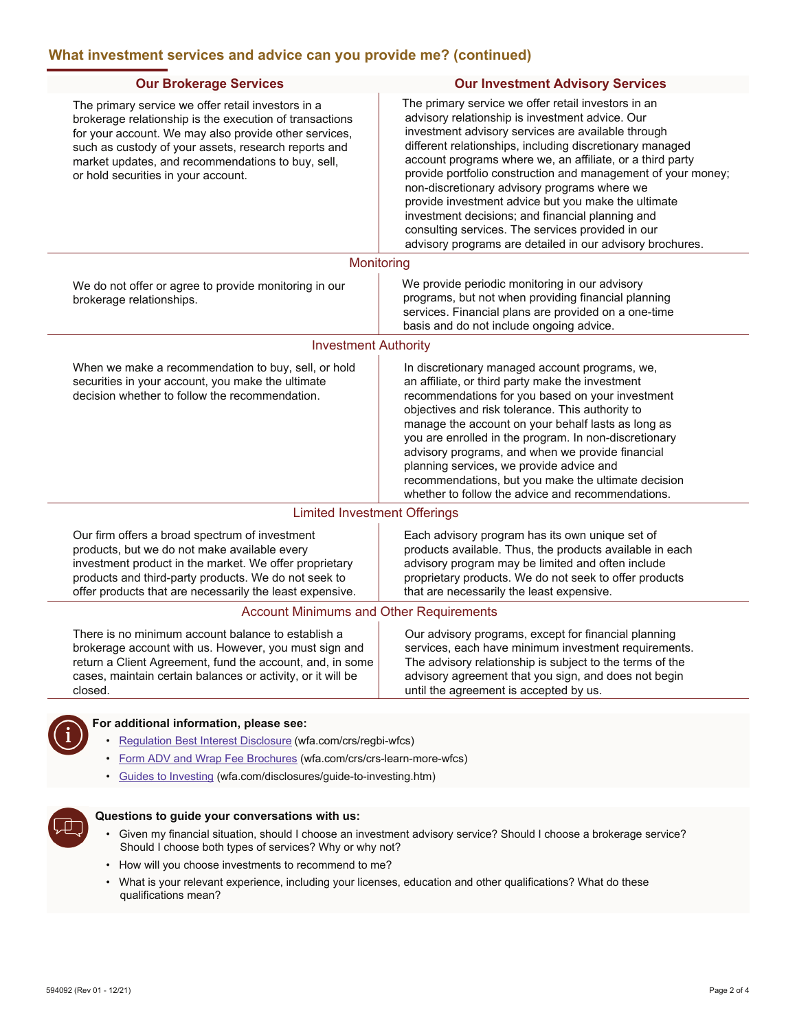| <b>Our Investment Advisory Services</b>                                                                                                                                                                                                                                                                                                                                                                                                                                                                                                                                                                                            |
|------------------------------------------------------------------------------------------------------------------------------------------------------------------------------------------------------------------------------------------------------------------------------------------------------------------------------------------------------------------------------------------------------------------------------------------------------------------------------------------------------------------------------------------------------------------------------------------------------------------------------------|
| The primary service we offer retail investors in an<br>advisory relationship is investment advice. Our<br>investment advisory services are available through<br>different relationships, including discretionary managed<br>account programs where we, an affiliate, or a third party<br>provide portfolio construction and management of your money;<br>non-discretionary advisory programs where we<br>provide investment advice but you make the ultimate<br>investment decisions; and financial planning and<br>consulting services. The services provided in our<br>advisory programs are detailed in our advisory brochures. |
| Monitoring                                                                                                                                                                                                                                                                                                                                                                                                                                                                                                                                                                                                                         |
| We provide periodic monitoring in our advisory<br>programs, but not when providing financial planning<br>services. Financial plans are provided on a one-time<br>basis and do not include ongoing advice.                                                                                                                                                                                                                                                                                                                                                                                                                          |
| <b>Investment Authority</b>                                                                                                                                                                                                                                                                                                                                                                                                                                                                                                                                                                                                        |
| In discretionary managed account programs, we,<br>an affiliate, or third party make the investment<br>recommendations for you based on your investment<br>objectives and risk tolerance. This authority to<br>manage the account on your behalf lasts as long as<br>you are enrolled in the program. In non-discretionary<br>advisory programs, and when we provide financial<br>planning services, we provide advice and<br>recommendations, but you make the ultimate decision<br>whether to follow the advice and recommendations.                                                                                              |
| <b>Limited Investment Offerings</b>                                                                                                                                                                                                                                                                                                                                                                                                                                                                                                                                                                                                |
| Each advisory program has its own unique set of<br>products available. Thus, the products available in each<br>advisory program may be limited and often include<br>proprietary products. We do not seek to offer products<br>that are necessarily the least expensive.                                                                                                                                                                                                                                                                                                                                                            |
| <b>Account Minimums and Other Requirements</b>                                                                                                                                                                                                                                                                                                                                                                                                                                                                                                                                                                                     |
| Our advisory programs, except for financial planning<br>services, each have minimum investment requirements.<br>The advisory relationship is subject to the terms of the<br>advisory agreement that you sign, and does not begin<br>until the agreement is accepted by us.                                                                                                                                                                                                                                                                                                                                                         |
|                                                                                                                                                                                                                                                                                                                                                                                                                                                                                                                                                                                                                                    |

- 
- [Form ADV and Wrap Fee Brochures](https://wfa.com/crs/crs-learn-more-wfcs) (wfa.com/crs/crs-learn-more-wfcs)
- [Guides to Investing](https://wfa.com/disclosures/guide-to-investing.htm) (wfa.com/disclosures/guide-to-investing.htm)



#### **Questions to guide your conversations with us:**

- Given my financial situation, should I choose an investment advisory service? Should I choose a brokerage service? Should I choose both types of services? Why or why not?
- How will you choose investments to recommend to me?
- What is your relevant experience, including your licenses, education and other qualifications? What do these qualifications mean?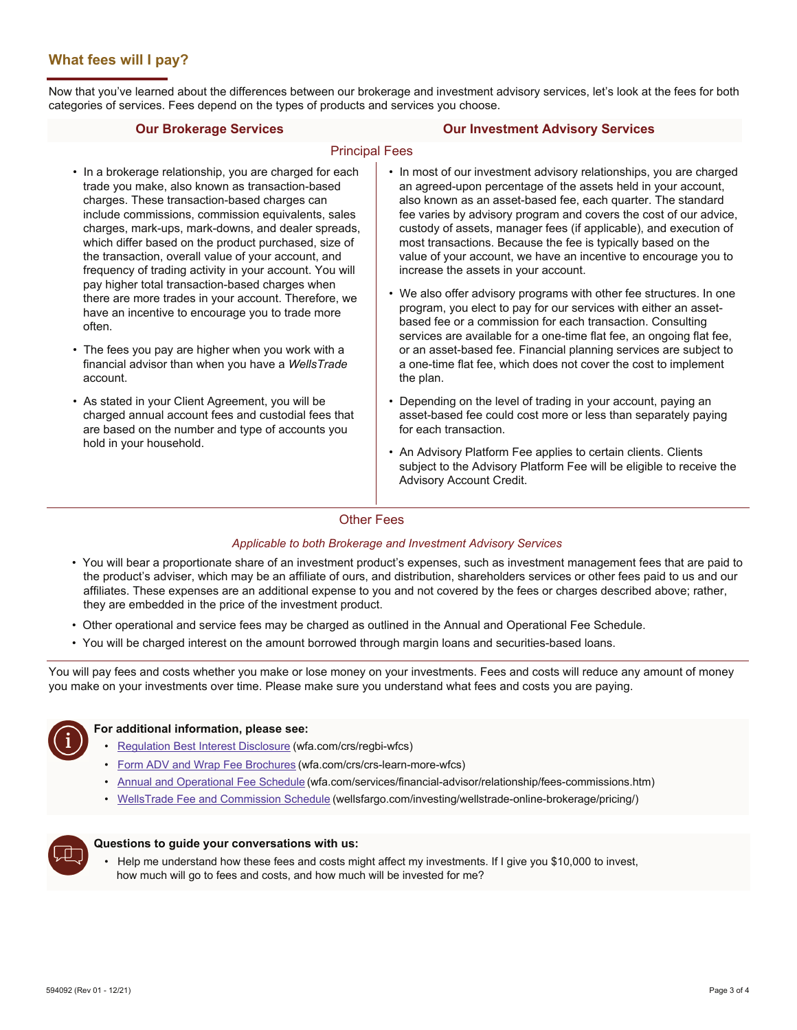# **What fees will I pay?**

Now that you've learned about the differences between our brokerage and investment advisory services, let's look at the fees for both categories of services. Fees depend on the types of products and services you choose.

#### **Our Brokerage Services Our Investment Advisory Services**

#### Principal Fees

- In a brokerage relationship, you are charged for each trade you make, also known as transaction-based charges. These transaction-based charges can include commissions, commission equivalents, sales charges, mark-ups, mark-downs, and dealer spreads, which differ based on the product purchased, size of the transaction, overall value of your account, and frequency of trading activity in your account. You will pay higher total transaction-based charges when there are more trades in your account. Therefore, we have an incentive to encourage you to trade more often.
- The fees you pay are higher when you work with a financial advisor than when you have a *WellsTrade*  account.
- As stated in your Client Agreement, you will be charged annual account fees and custodial fees that are based on the number and type of accounts you hold in your household.
- In most of our investment advisory relationships, you are charged an agreed-upon percentage of the assets held in your account, also known as an asset-based fee, each quarter. The standard fee varies by advisory program and covers the cost of our advice, custody of assets, manager fees (if applicable), and execution of most transactions. Because the fee is typically based on the value of your account, we have an incentive to encourage you to increase the assets in your account.
- We also offer advisory programs with other fee structures. In one program, you elect to pay for our services with either an assetbased fee or a commission for each transaction. Consulting services are available for a one-time flat fee, an ongoing flat fee, or an asset-based fee. Financial planning services are subject to a one-time flat fee, which does not cover the cost to implement the plan.
- Depending on the level of trading in your account, paying an asset-based fee could cost more or less than separately paying for each transaction.
- An Advisory Platform Fee applies to certain clients. Clients subject to the Advisory Platform Fee will be eligible to receive the Advisory Account Credit.

### Other Fees

#### *Applicable to both Brokerage and Investment Advisory Services*

- You will bear a proportionate share of an investment product's expenses, such as investment management fees that are paid to the product's adviser, which may be an affiliate of ours, and distribution, shareholders services or other fees paid to us and our affiliates. These expenses are an additional expense to you and not covered by the fees or charges described above; rather, they are embedded in the price of the investment product.
- Other operational and service fees may be charged as outlined in the Annual and Operational Fee Schedule.
- You will be charged interest on the amount borrowed through margin loans and securities-based loans.

You will pay fees and costs whether you make or lose money on your investments. Fees and costs will reduce any amount of money you make on your investments over time. Please make sure you understand what fees and costs you are paying.



### **For additional information, please see:**

- [Regulation Best Interest Disclosure](https://wfa.com/crs/regbi-wfcs) (wfa.com/crs/regbi-wfcs)
- [Form ADV and Wrap Fee Brochures](https://wfa.com/crs/crs-learn-more-wfcs) (wfa.com/crs/crs-learn-more-wfcs)
- [Annual and Operational Fee Schedule](https://wfa.com/services/financial-advisor/relationship/fees-commissions.htm) (wfa.com/services/financial-advisor/relationship/fees-commissions.htm)
- [WellsTrade Fee and Commission Schedule](https://wellsfargo.com/investing/wellstrade-online-brokerage/pricing) (wellsfargo.com/investing/wellstrade-online-brokerage/pricing/)



#### **Questions to guide your conversations with us:**

• Help me understand how these fees and costs might affect my investments. If I give you \$10,000 to invest, how much will go to fees and costs, and how much will be invested for me?